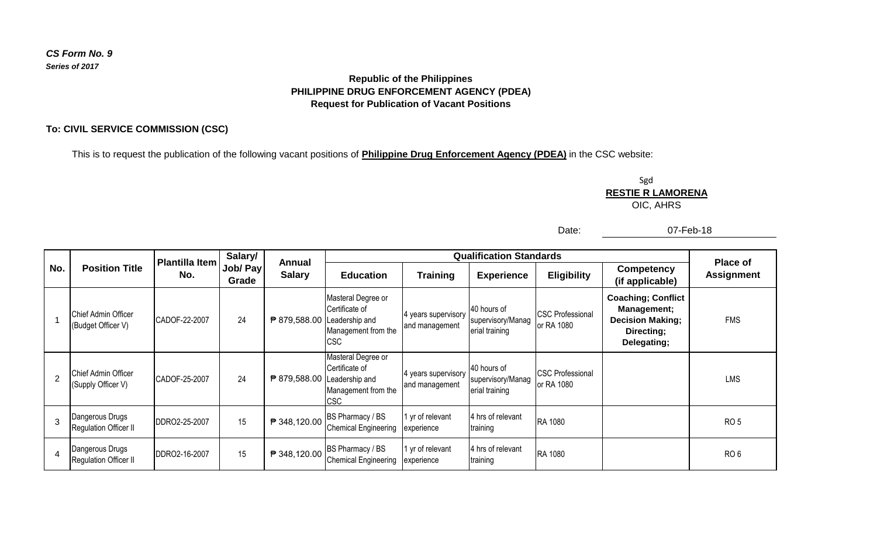## **PHILIPPINE DRUG ENFORCEMENT AGENCY (PDEA) Republic of the Philippines Request for Publication of Vacant Positions**

## **To: CIVIL SERVICE COMMISSION (CSC)**

This is to request the publication of the following vacant positions of **Philippine Drug Enforcement Agency (PDEA)** in the CSC website:

Sgd **RESTIE R LAMORENA**

OIC, AHRS

Date:

07-Feb-18

|               | <b>Position Title</b>                     | <b>Plantilla Item</b><br>No. | Salary/<br>Job/ Pay<br>Grade | Annual<br><b>Salary</b>     |                                                                            | <b>Place of</b>                       |                                                    |                                              |                                                                                                  |                   |
|---------------|-------------------------------------------|------------------------------|------------------------------|-----------------------------|----------------------------------------------------------------------------|---------------------------------------|----------------------------------------------------|----------------------------------------------|--------------------------------------------------------------------------------------------------|-------------------|
| No.           |                                           |                              |                              |                             | <b>Education</b>                                                           | <b>Training</b>                       | <b>Experience</b>                                  | <b>Eligibility</b>                           | <b>Competency</b><br>(if applicable)                                                             | <b>Assignment</b> |
|               | Chief Admin Officer<br>(Budget Officer V) | CADOF-22-2007                | 24                           | ₱ 879,588.00 Leadership and | Masteral Degree or<br>Certificate of<br>Management from the<br><b>ICSC</b> | 4 years supervisory<br>and management | 40 hours of<br>supervisory/Manag<br>erial training | <b>CSC Professional</b><br>or RA 1080        | <b>Coaching; Conflict</b><br>Management;<br><b>Decision Making;</b><br>Directing;<br>Delegating; | <b>FMS</b>        |
| $\mathcal{P}$ | Chief Admin Officer<br>(Supply Officer V) | CADOF-25-2007                | 24                           | ₱ 879,588.00 Leadership and | Masteral Degree or<br>Certificate of<br>Management from the<br><b>CSC</b>  | 4 years supervisory<br>and management | 40 hours of<br>supervisory/Manag<br>erial training | <b>CSC Professional</b><br><b>or RA 1080</b> |                                                                                                  | <b>LMS</b>        |
| 3             | Dangerous Drugs<br>Regulation Officer II  | DDRO2-25-2007                | 15                           | ₱ 348,120.00                | BS Pharmacy / BS<br><b>Chemical Engineering</b>                            | I yr of relevant<br>experience        | 4 hrs of relevant<br>training                      | RA 1080                                      |                                                                                                  | RO <sub>5</sub>   |
| 4             | Dangerous Drugs<br>Regulation Officer II  | DDRO2-16-2007                | 15                           | ₱ 348,120.00                | BS Pharmacy / BS<br><b>Chemical Engineering</b>                            | 1 yr of relevant<br>experience        | 4 hrs of relevant<br>training                      | <b>RA 1080</b>                               |                                                                                                  | RO <sub>6</sub>   |

## *CS Form No. 9 Series of 2017*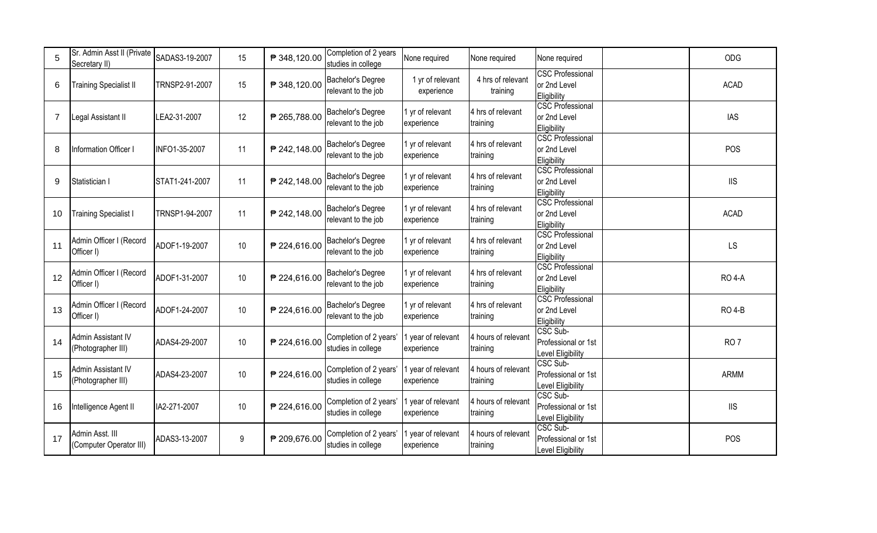| 5              | Sr. Admin Asst II (Private<br>Secretary II) | SADAS3-19-2007 | 15     | ₱ 348,120.00 | Completion of 2 years<br>studies in college  | None required                    | None required                   | None required                                          | ODG                         |
|----------------|---------------------------------------------|----------------|--------|--------------|----------------------------------------------|----------------------------------|---------------------------------|--------------------------------------------------------|-----------------------------|
| 6              | <b>Training Specialist II</b>               | TRNSP2-91-2007 | 15     | ₱ 348,120.00 | Bachelor's Degree<br>relevant to the job     | 1 yr of relevant<br>experience   | 4 hrs of relevant<br>training   | CSC Professional<br>or 2nd Level<br>Eligibility        | <b>ACAD</b>                 |
| $\overline{7}$ | Legal Assistant II                          | LEA2-31-2007   | 12     | ₱ 265,788.00 | Bachelor's Degree<br>relevant to the job     | 1 yr of relevant<br>experience   | 4 hrs of relevant<br>training   | <b>CSC Professional</b><br>or 2nd Level<br>Eligibility | <b>IAS</b>                  |
| 8              | Information Officer I                       | INFO1-35-2007  | 11     | ₱ 242,148.00 | Bachelor's Degree<br>relevant to the job     | 1 yr of relevant<br>experience   | 4 hrs of relevant<br>training   | <b>CSC Professional</b><br>or 2nd Level<br>Eligibility | POS                         |
| 9              | Statistician I                              | STAT1-241-2007 | 11     | ₱ 242,148.00 | Bachelor's Degree<br>relevant to the job     | 1 yr of relevant<br>experience   | 4 hrs of relevant<br>training   | <b>CSC Professional</b><br>or 2nd Level<br>Eligibility | $\ensuremath{\mathsf{IIS}}$ |
| 10             | <b>Training Specialist I</b>                | TRNSP1-94-2007 | 11     | ₱ 242,148.00 | Bachelor's Degree<br>relevant to the job     | 1 yr of relevant<br>experience   | 4 hrs of relevant<br>training   | <b>CSC Professional</b><br>or 2nd Level<br>Eligibility | <b>ACAD</b>                 |
| 11             | Admin Officer I (Record<br>Officer I)       | ADOF1-19-2007  | $10$   | ₱ 224,616.00 | Bachelor's Degree<br>relevant to the job     | 1 yr of relevant<br>experience   | 4 hrs of relevant<br>training   | <b>CSC Professional</b><br>or 2nd Level<br>Eligibility | LS                          |
| 12             | Admin Officer I (Record<br>Officer I)       | ADOF1-31-2007  | $10$   | ₱ 224,616.00 | Bachelor's Degree<br>relevant to the job     | 1 yr of relevant<br>experience   | 4 hrs of relevant<br>training   | <b>CSC Professional</b><br>or 2nd Level<br>Eligibility | <b>RO 4-A</b>               |
| 13             | Admin Officer I (Record<br>Officer I)       | ADOF1-24-2007  | $10$   | ₱ 224,616.00 | Bachelor's Degree<br>relevant to the job     | 1 yr of relevant<br>experience   | 4 hrs of relevant<br>training   | <b>CSC Professional</b><br>or 2nd Level<br>Eligibility | <b>RO 4-B</b>               |
| 14             | Admin Assistant IV<br>(Photographer III)    | ADAS4-29-2007  | $10\,$ | ₱ 224,616.00 | Completion of 2 years'<br>studies in college | 1 year of relevant<br>experience | 4 hours of relevant<br>training | CSC Sub-<br>Professional or 1st<br>Level Eligibility   | RO <sub>7</sub>             |
| 15             | Admin Assistant IV<br>(Photographer III)    | ADAS4-23-2007  | $10\,$ | ₱ 224,616.00 | Completion of 2 years'<br>studies in college | 1 year of relevant<br>experience | 4 hours of relevant<br>training | CSC Sub-<br>Professional or 1st<br>Level Eligibility   | <b>ARMM</b>                 |
| 16             | Intelligence Agent II                       | IA2-271-2007   | $10\,$ | ₱ 224,616.00 | Completion of 2 years'<br>studies in college | 1 year of relevant<br>experience | 4 hours of relevant<br>training | CSC Sub-<br>Professional or 1st<br>Level Eligibility   | $\mathsf{IIS}$              |
| 17             | Admin Asst. III<br>(Computer Operator III)  | ADAS3-13-2007  | 9      | ₱ 209,676.00 | Completion of 2 years'<br>studies in college | 1 year of relevant<br>experience | 4 hours of relevant<br>training | CSC Sub-<br>Professional or 1st<br>Level Eligibility   | POS                         |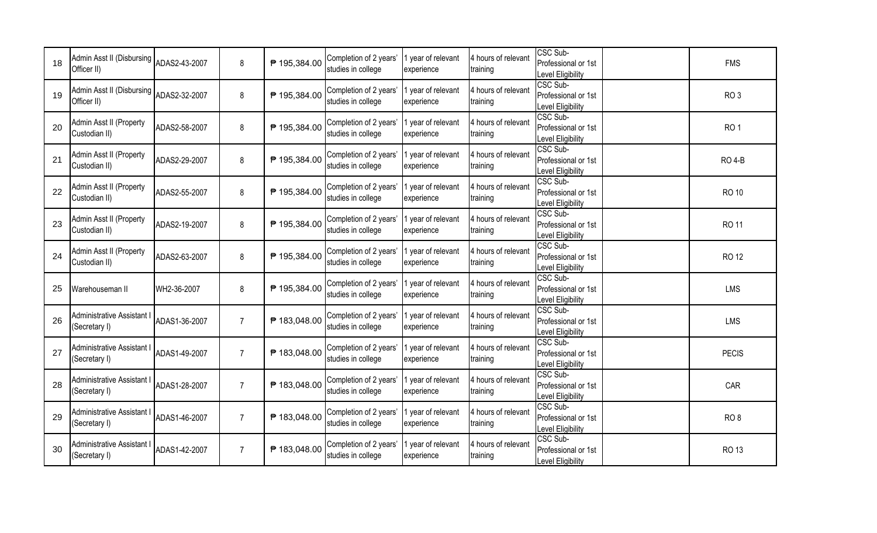| 18 | Admin Asst II (Disbursing<br>Officer II)  | ADAS2-43-2007 | 8              | ₱ 195,384.00 | Completion of 2 years'<br>studies in college | year of relevant<br>experience   | 4 hours of relevant<br>training | CSC Sub-<br>Professional or 1st<br>Level Eligibility | <b>FMS</b>      |
|----|-------------------------------------------|---------------|----------------|--------------|----------------------------------------------|----------------------------------|---------------------------------|------------------------------------------------------|-----------------|
| 19 | Admin Asst II (Disbursing<br>Officer II)  | ADAS2-32-2007 | 8              | ₱ 195,384.00 | Completion of 2 years'<br>studies in college | 1 year of relevant<br>experience | 4 hours of relevant<br>training | CSC Sub-<br>Professional or 1st<br>Level Eligibility | RO <sub>3</sub> |
| 20 | Admin Asst II (Property<br>Custodian II)  | ADAS2-58-2007 | 8              | ₱ 195,384.00 | Completion of 2 years'<br>studies in college | 1 year of relevant<br>experience | 4 hours of relevant<br>training | CSC Sub-<br>Professional or 1st<br>Level Eligibility | RO <sub>1</sub> |
| 21 | Admin Asst II (Property<br>Custodian II)  | ADAS2-29-2007 | 8              | ₱ 195,384.00 | Completion of 2 years'<br>studies in college | 1 year of relevant<br>experience | 4 hours of relevant<br>training | CSC Sub-<br>Professional or 1st<br>Level Eligibility | <b>RO 4-B</b>   |
| 22 | Admin Asst II (Property<br>Custodian II)  | ADAS2-55-2007 | 8              | ₱ 195,384.00 | Completion of 2 years'<br>studies in college | 1 year of relevant<br>experience | 4 hours of relevant<br>training | CSC Sub-<br>Professional or 1st<br>Level Eligibility | <b>RO 10</b>    |
| 23 | Admin Asst II (Property<br>Custodian II)  | ADAS2-19-2007 | 8              | ₱ 195,384.00 | Completion of 2 years'<br>studies in college | 1 year of relevant<br>experience | 4 hours of relevant<br>training | CSC Sub-<br>Professional or 1st<br>Level Eligibility | <b>RO11</b>     |
| 24 | Admin Asst II (Property<br>Custodian II)  | ADAS2-63-2007 | 8              | ₱ 195,384.00 | Completion of 2 years'<br>studies in college | 1 year of relevant<br>experience | 4 hours of relevant<br>training | CSC Sub-<br>Professional or 1st<br>Level Eligibility | <b>RO 12</b>    |
| 25 | Warehouseman II                           | WH2-36-2007   | 8              | ₱ 195,384.00 | Completion of 2 years'<br>studies in college | 1 year of relevant<br>experience | 4 hours of relevant<br>training | CSC Sub-<br>Professional or 1st<br>Level Eligibility | <b>LMS</b>      |
| 26 | Administrative Assistant<br>(Secretary I) | ADAS1-36-2007 | $\overline{7}$ | ₱ 183,048.00 | Completion of 2 years'<br>studies in college | 1 year of relevant<br>experience | 4 hours of relevant<br>training | CSC Sub-<br>Professional or 1st<br>Level Eligibility | LMS             |
| 27 | Administrative Assistant<br>(Secretary I) | ADAS1-49-2007 | $\overline{7}$ | ₱ 183,048.00 | Completion of 2 years'<br>studies in college | 1 year of relevant<br>experience | 4 hours of relevant<br>training | CSC Sub-<br>Professional or 1st<br>Level Eligibility | <b>PECIS</b>    |
| 28 | Administrative Assistant<br>(Secretary I) | ADAS1-28-2007 | $\overline{7}$ | ₱ 183,048.00 | Completion of 2 years<br>studies in college  | 1 year of relevant<br>experience | 4 hours of relevant<br>training | CSC Sub-<br>Professional or 1st<br>Level Eligibility | CAR             |
| 29 | Administrative Assistant<br>(Secretary I) | ADAS1-46-2007 | $\overline{7}$ | ₱ 183,048.00 | Completion of 2 years'<br>studies in college | 1 year of relevant<br>experience | 4 hours of relevant<br>training | CSC Sub-<br>Professional or 1st<br>Level Eligibility | RO <sub>8</sub> |
| 30 | Administrative Assistant<br>(Secretary I) | ADAS1-42-2007 | $\overline{7}$ | ₱ 183,048.00 | Completion of 2 years'<br>studies in college | 1 year of relevant<br>experience | 4 hours of relevant<br>training | CSC Sub-<br>Professional or 1st<br>Level Eligibility | RO 13           |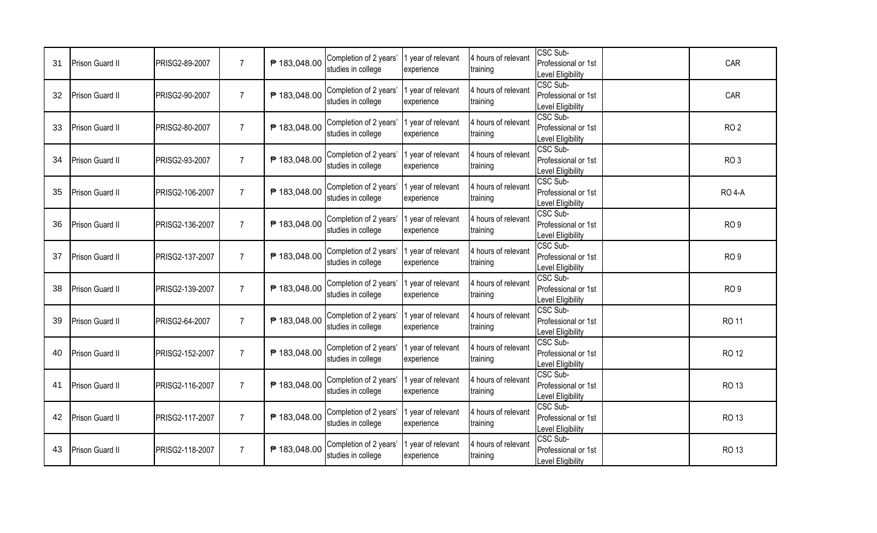| 31 | Prison Guard II        | PRISG2-89-2007        | $\overline{7}$ | ₱ 183,048.00 | Completion of 2 years'<br>studies in college | 1 year of relevant<br>experience | 4 hours of relevant<br>training | CSC Sub-<br>Professional or 1st<br>Level Eligibility        | CAR             |
|----|------------------------|-----------------------|----------------|--------------|----------------------------------------------|----------------------------------|---------------------------------|-------------------------------------------------------------|-----------------|
| 32 | Prison Guard II        | PRISG2-90-2007        | $\overline{7}$ | ₱ 183,048.00 | Completion of 2 years'<br>studies in college | 1 year of relevant<br>experience | 4 hours of relevant<br>training | CSC Sub-<br>Professional or 1st<br>Level Eligibility        | CAR             |
| 33 | <b>Prison Guard II</b> | <b>PRISG2-80-2007</b> | $\overline{7}$ | ₱ 183,048.00 | Completion of 2 years'<br>studies in college | 1 year of relevant<br>experience | 4 hours of relevant<br>training | CSC Sub-<br>Professional or 1st<br>Level Eligibility        | RO <sub>2</sub> |
| 34 | Prison Guard II        | PRISG2-93-2007        | $\overline{7}$ | ₱ 183,048.00 | Completion of 2 years'<br>studies in college | 1 year of relevant<br>experience | 4 hours of relevant<br>training | CSC Sub-<br>Professional or 1st<br>Level Eligibility        | RO <sub>3</sub> |
| 35 | Prison Guard II        | PRISG2-106-2007       | $\overline{7}$ | ₱ 183,048.00 | Completion of 2 years'<br>studies in college | 1 year of relevant<br>experience | 4 hours of relevant<br>training | CSC Sub-<br>Professional or 1st<br>Level Eligibility        | <b>RO 4-A</b>   |
| 36 | Prison Guard II        | PRISG2-136-2007       | $\overline{7}$ | ₱ 183,048.00 | Completion of 2 years'<br>studies in college | 1 year of relevant<br>experience | 4 hours of relevant<br>training | CSC Sub-<br>Professional or 1st<br>Level Eligibility        | RO <sub>9</sub> |
| 37 | Prison Guard II        | PRISG2-137-2007       | $\overline{7}$ | ₱ 183,048.00 | Completion of 2 years'<br>studies in college | 1 year of relevant<br>experience | 4 hours of relevant<br>training | CSC Sub-<br>Professional or 1st<br>Level Eligibility        | RO <sub>9</sub> |
| 38 | Prison Guard II        | PRISG2-139-2007       | $\overline{7}$ | ₱ 183,048.00 | Completion of 2 years'<br>studies in college | 1 year of relevant<br>experience | 4 hours of relevant<br>training | <b>CSC Sub-</b><br>Professional or 1st<br>Level Eligibility | RO <sub>9</sub> |
| 39 | Prison Guard II        | PRISG2-64-2007        | $\overline{7}$ | ₱ 183,048.00 | Completion of 2 years'<br>studies in college | 1 year of relevant<br>experience | 4 hours of relevant<br>training | CSC Sub-<br>Professional or 1st<br>Level Eligibility        | <b>RO 11</b>    |
| 40 | Prison Guard II        | PRISG2-152-2007       | $\overline{7}$ | ₱ 183,048.00 | Completion of 2 years'<br>studies in college | 1 year of relevant<br>experience | 4 hours of relevant<br>training | CSC Sub-<br>Professional or 1st<br>Level Eligibility        | <b>RO 12</b>    |
| 41 | Prison Guard II        | PRISG2-116-2007       | $\overline{7}$ | ₱ 183,048.00 | Completion of 2 years'<br>studies in college | 1 year of relevant<br>experience | 4 hours of relevant<br>training | CSC Sub-<br>Professional or 1st<br>Level Eligibility        | RO 13           |
| 42 | Prison Guard II        | PRISG2-117-2007       | $\overline{7}$ | ₱ 183,048.00 | Completion of 2 years'<br>studies in college | 1 year of relevant<br>experience | 4 hours of relevant<br>training | CSC Sub-<br>Professional or 1st<br>Level Eligibility        | <b>RO 13</b>    |
| 43 | Prison Guard II        | PRISG2-118-2007       | $\overline{7}$ | ₱ 183,048.00 | Completion of 2 years'<br>studies in college | 1 year of relevant<br>experience | 4 hours of relevant<br>training | CSC Sub-<br>Professional or 1st<br>Level Eligibility        | <b>RO 13</b>    |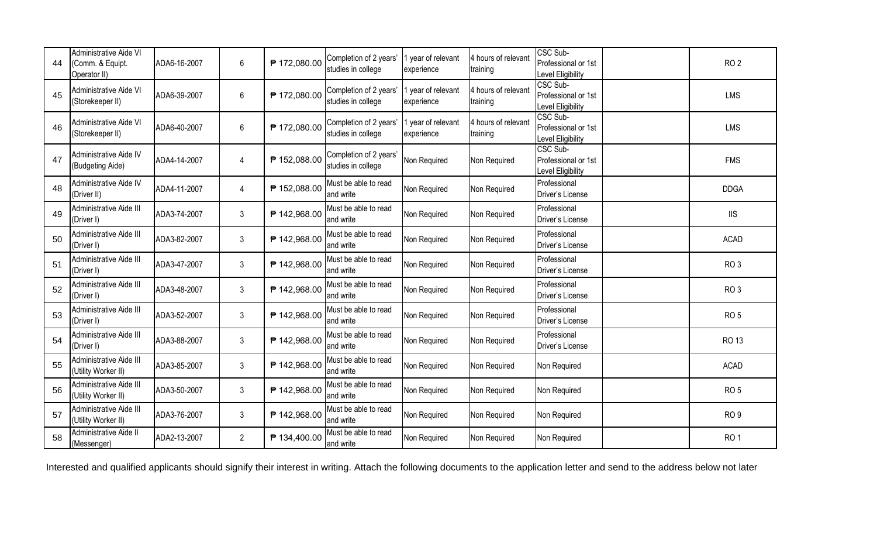| 44 | <b>Administrative Aide VI</b><br>(Comm. & Equipt.<br>Operator II) | ADA6-16-2007 | 6              | ₱ 172,080.00 | Completion of 2 years'<br>studies in college | 1 year of relevant<br>experience | 4 hours of relevant<br>training | CSC Sub-<br>Professional or 1st<br>Level Eligibility | RO <sub>2</sub> |
|----|-------------------------------------------------------------------|--------------|----------------|--------------|----------------------------------------------|----------------------------------|---------------------------------|------------------------------------------------------|-----------------|
| 45 | Administrative Aide VI<br>(Storekeeper II)                        | ADA6-39-2007 | 6              | ₱ 172,080.00 | Completion of 2 years'<br>studies in college | 1 year of relevant<br>experience | 4 hours of relevant<br>training | CSC Sub-<br>Professional or 1st<br>Level Eligibility | <b>LMS</b>      |
| 46 | Administrative Aide VI<br>(Storekeeper II)                        | ADA6-40-2007 | 6              | ₱ 172,080.00 | Completion of 2 years'<br>studies in college | 1 year of relevant<br>experience | 4 hours of relevant<br>training | CSC Sub-<br>Professional or 1st<br>Level Eligibility | LMS             |
| 47 | Administrative Aide IV<br>(Budgeting Aide)                        | ADA4-14-2007 | $\overline{4}$ | ₱ 152,088.00 | Completion of 2 years'<br>studies in college | Non Required                     | Non Required                    | CSC Sub-<br>Professional or 1st<br>Level Eligibility | <b>FMS</b>      |
| 48 | Administrative Aide IV<br>(Driver II)                             | ADA4-11-2007 | $\overline{4}$ | ₱ 152,088.00 | Must be able to read<br>and write            | Non Required                     | Non Required                    | Professional<br>Driver's License                     | <b>DDGA</b>     |
| 49 | Administrative Aide III<br>(Driver I)                             | ADA3-74-2007 | 3              | ₱ 142,968.00 | Must be able to read<br>and write            | Non Required                     | Non Required                    | Professional<br>Driver's License                     | <b>IIS</b>      |
| 50 | Administrative Aide III<br>(Driver I)                             | ADA3-82-2007 | 3              | ₱ 142,968.00 | Must be able to read<br>and write            | Non Required                     | Non Required                    | Professional<br>Driver's License                     | <b>ACAD</b>     |
| 51 | Administrative Aide III<br>(Driver I)                             | ADA3-47-2007 | 3              | ₱ 142,968.00 | Must be able to read<br>and write            | Non Required                     | Non Required                    | Professional<br>Driver's License                     | RO <sub>3</sub> |
| 52 | Administrative Aide III<br>(Driver I)                             | ADA3-48-2007 | 3              | ₱ 142,968.00 | Must be able to read<br>and write            | Non Required                     | Non Required                    | Professional<br>Driver's License                     | RO <sub>3</sub> |
| 53 | Administrative Aide III<br>(Driver I)                             | ADA3-52-2007 | 3              | ₱ 142,968.00 | Must be able to read<br>and write            | Non Required                     | Non Required                    | Professional<br>Driver's License                     | RO <sub>5</sub> |
| 54 | Administrative Aide III<br>(Driver I)                             | ADA3-88-2007 | 3              | ₱ 142,968.00 | Must be able to read<br>and write            | Non Required                     | Non Required                    | Professional<br>Driver's License                     | <b>RO 13</b>    |
| 55 | Administrative Aide III<br>(Utility Worker II)                    | ADA3-85-2007 | 3              | ₱ 142,968.00 | Must be able to read<br>and write            | Non Required                     | Non Required                    | Non Required                                         | <b>ACAD</b>     |
| 56 | Administrative Aide III<br>(Utility Worker II)                    | ADA3-50-2007 | 3              | ₱ 142,968.00 | Must be able to read<br>and write            | Non Required                     | Non Required                    | Non Required                                         | RO <sub>5</sub> |
| 57 | Administrative Aide III<br>(Utility Worker II)                    | ADA3-76-2007 | 3              | ₱ 142,968.00 | Must be able to read<br>and write            | Non Required                     | Non Required                    | Non Required                                         | RO <sub>9</sub> |
| 58 | Administrative Aide II<br>(Messenger)                             | ADA2-13-2007 | $\overline{2}$ | ₱ 134,400.00 | Must be able to read<br>and write            | Non Required                     | Non Required                    | Non Required                                         | RO <sub>1</sub> |

Interested and qualified applicants should signify their interest in writing. Attach the following documents to the application letter and send to the address below not later